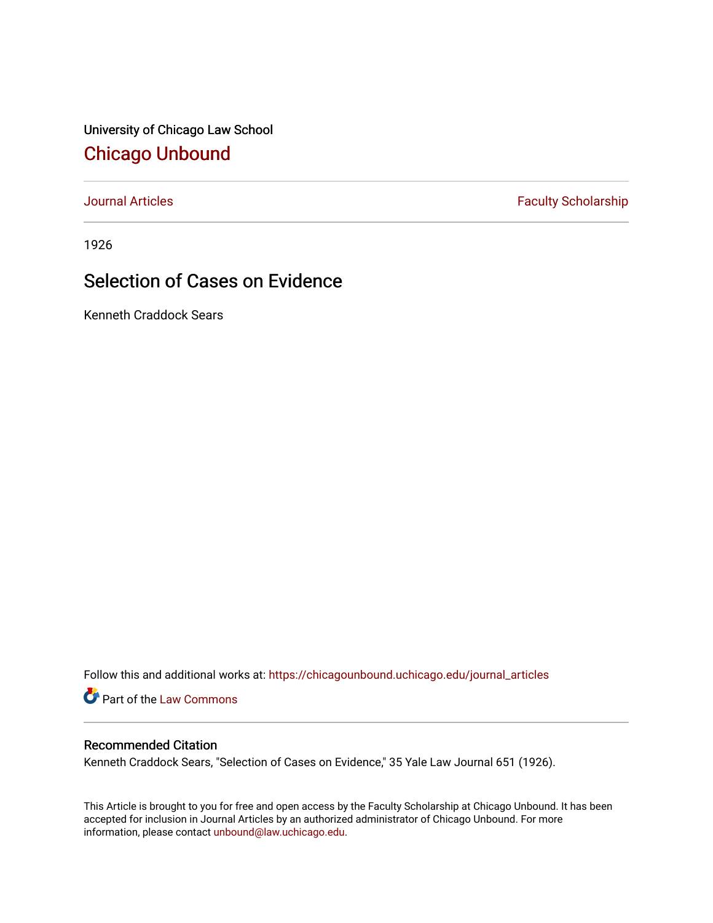University of Chicago Law School [Chicago Unbound](https://chicagounbound.uchicago.edu/)

[Journal Articles](https://chicagounbound.uchicago.edu/journal_articles) **Faculty Scholarship Faculty Scholarship** 

1926

## Selection of Cases on Evidence

Kenneth Craddock Sears

Follow this and additional works at: [https://chicagounbound.uchicago.edu/journal\\_articles](https://chicagounbound.uchicago.edu/journal_articles?utm_source=chicagounbound.uchicago.edu%2Fjournal_articles%2F9370&utm_medium=PDF&utm_campaign=PDFCoverPages) 

**Part of the [Law Commons](http://network.bepress.com/hgg/discipline/578?utm_source=chicagounbound.uchicago.edu%2Fjournal_articles%2F9370&utm_medium=PDF&utm_campaign=PDFCoverPages)** 

## Recommended Citation

Kenneth Craddock Sears, "Selection of Cases on Evidence," 35 Yale Law Journal 651 (1926).

This Article is brought to you for free and open access by the Faculty Scholarship at Chicago Unbound. It has been accepted for inclusion in Journal Articles by an authorized administrator of Chicago Unbound. For more information, please contact [unbound@law.uchicago.edu](mailto:unbound@law.uchicago.edu).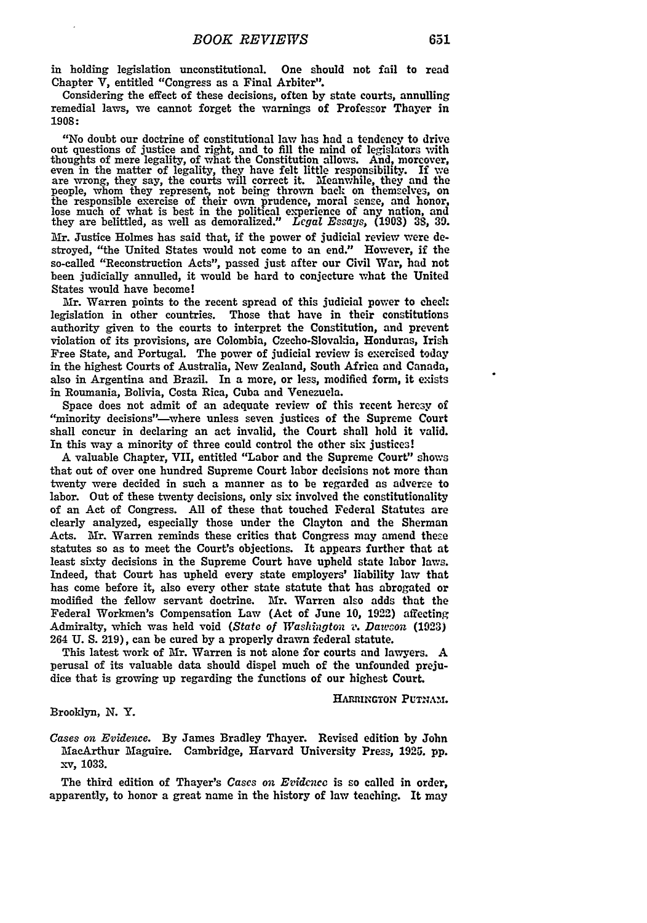in holding legislation unconstitutional. One should not fail to read Chapter V, entitled "Congress as a Final Arbiter".

Considering the effect of these decisions, often by state courts, annulling remedial laws, we cannot forget the warnings of Professor Thayer in **1908:**

"No doubt our doctrine of constitutional law has had a tendency to drive out questions of justice and right, and to fill the mind of legislators with thoughts of mere legality, of what the Constitution allows. And, moreover, even in the matter of legality, they have felt little responsibility. If we are wrong, they say, the courts will correct it. Meanwhile, they and th people, whom they represent, not being thrown back on themselves, on<br>the responsible exercise of their own prudence, moral sense, and honor,<br>lose much of what is best in the political experience of any nation, and<br>they are Mr. Justice Holmes has said that, if the power of judicial review were destroyed, "the United States would not come to an end." However, if the so-called "Reconstruction Acts", passed just after our Civil War, had not been judicially annulled, it would be hard to conjecture what the United States would have become!

Mr. Warren points to the recent spread of this judicial power to check: legislation in other countries. Those that have in their constitutions authority given to the courts to interpret the Constitution, and prevent violation of its provisions, are Colombia, Czecho-Slovakia, Honduras, Irish Free State, and Portugal. The power of judicial review is exercised today in the highest Courts of Australia, New Zealand, South Africa and Canada, also in Argentina and Brazil. In a more, or less, modified form, it exists in Roumania, Bolivia, Costa Rica, Cuba and Venezuela.

Space does not admit of an adequate review of this recent heresy of "minority decisions"--where unless seven justices of the Supreme Court shall concur in declaring an act invalid, the Court shall hold it valid. In this way a minority of three could control the other six justices!

A valuable Chapter, VII, entitled "Labor and the Supreme Court" shows that out of over one hundred Supreme Court labor decisions not more than twenty were decided in such a manner as to be regarded as adverse to labor. Out of these twenty decisions, only six involved the constitutionality of an Act of Congress. All of these that touched Federal Statutes are clearly analyzed, especially those under the Clayton and the Sherman Acts. Mr. Warren reminds these critics that Congress may amend these statutes so as to meet the Court's objections. It appears further that at least sixty decisions in the Supreme Court have upheld state labor laws. Indeed, that Court has upheld every state employers' liability law that has come before it, also every other state statute that has abrogated or modified the fellow servant doctrine. Mr. Warren also adds that the Federal Workmen's Compensation Law (Act of June **10,** 1922) affecting Admiralty, which was held void *(State of Washinzgton v. Dawson* **(1923)** 264 U. **S.** 219), can be cured by a properly drawn federal statute.

This latest work of Mr. Warren is not alone for courts and lawyers. A perusal of its valuable data should dispel much of the unfounded prejudice that is growing up regarding the functions of our highest Court.

**HARaINGTON** *PUTNAM.*

## Brooklyn, **N.** Y.

*Cases on Evidence.* By James Bradley Thayer. Revised edition **by** John MacArthur Maguire. Cambridge, Harvard University Press, 1925. pp. xv, 1033.

The third edition of Thayer's *Cases on Evidcncc* is so called in order, apparently, to honor a great name in the history of law teaching. It may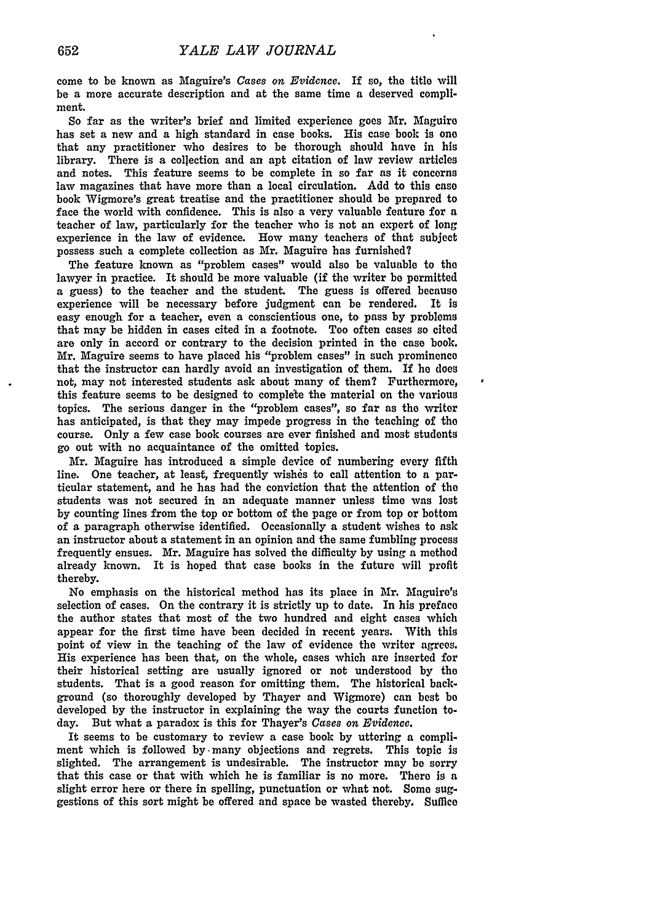come to be known as Maguire's *Cases on Evidence.* If so, the title will be a more accurate description and at the same time a deserved compliment.

So far as the writer's brief and limited experience goes Mr. Maguire has set a new and a high standard in case books. His case book is one that any practitioner who desires to be thorough should have in his library. There is a collection and an apt citation of law review articles and notes. This feature seems to be complete in so far as it concerns law magazines that have more than a local circulation. **Add** to this case book Wigmore's great treatise and the practitioner should **be** prepared to face the world with confidence. This is also a very valuable feature for **a** teacher of law, particularly for the teacher who is not an expert of long experience in the law of evidence. How many teachers of that subject possess such a complete collection as Mr. Maguire has furnished?

The feature known as "problem cases" would also be valuable to the lawyer in practice. It should be more valuable (if the writer **be** permitted a guess) to the teacher and the student. The guess is offered because experience will be necessary before judgment can be rendered. It is easy enough for a teacher, even a conscientious one, to pass by problems that may be hidden in cases cited in a footnote. Too often cases so cited are only in accord or contrary to the decision printed in the case book. Mr. Maguire seems to have placed his "problem cases" in such prominence that the instructor can hardly avoid an investigation of them. If he does not, may not interested students ask about many of them? Furthermore, this feature seems to be designed to complete the material on the various topics. The serious danger in the "problem cases", so far as the writer has anticipated, is that they may impede progress in the teaching of the course. Only a few case book courses are ever finished and most students go out with no acquaintance of the omitted topics.

Mr. Maguire has introduced a simple device of numbering every fifth line. One teacher, at least, frequently wishes to call attention to a particular statement, and he has had the conviction that the attention of the students was not secured in an adequate manner unless time was lost by counting lines from the top or bottom of the page or from top or bottom of a paragraph otherwise identified. Occasionally a student wishes to ask an instructor about a statement in an opinion and the same fumbling process frequently ensues. Mr. Maguire has solved the difficulty by using a method already known. It is hoped that case books in the future will profit thereby.

No emphasis on the historical method has its place in Mr. Maguire's selection of cases. On the contrary it is strictly up to date. In his preface the author states that most of the two hundred and eight cases which appear for the first time have been decided in recent years. With this point of view in the teaching of the law of evidence the writer agrees. His experience has been that, on the whole, cases which are inserted for their historical setting are usually ignored or not understood by the students. That is a good reason for omitting them. The historical background (so thoroughly developed by Thayer and Wigmore) can best **be** developed by the instructor in explaining the way the courts function today. But what a paradox is this for Thayer's *Cases on Evidence.*

It seems to be customary to review a case book by uttering a compliment which is followed by-many objections and regrets. This topic is slighted. The arrangement is undesirable. The instructor may be sorry that this case or that with which he is familiar is no more. There is **a** slight error here or there in spelling, punctuation or what not. Some suggestions of this sort might be offered and space be wasted thereby. Suffice